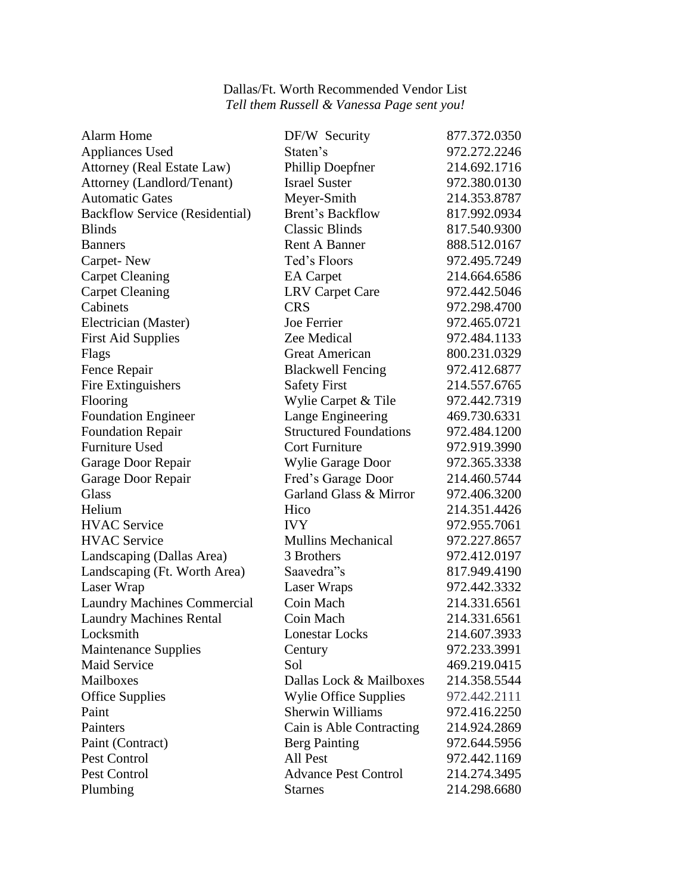## Dallas/Ft. Worth Recommended Vendor List *Tell them Russell & Vanessa Page sent you!*

| <b>Alarm Home</b>                     | DF/W Security                 | 877.372.0350 |
|---------------------------------------|-------------------------------|--------------|
| <b>Appliances Used</b>                | Staten's                      | 972.272.2246 |
| <b>Attorney (Real Estate Law)</b>     | Phillip Doepfner              | 214.692.1716 |
| Attorney (Landlord/Tenant)            | <b>Israel Suster</b>          | 972.380.0130 |
| <b>Automatic Gates</b>                | Meyer-Smith                   | 214.353.8787 |
| <b>Backflow Service (Residential)</b> | Brent's Backflow              | 817.992.0934 |
| <b>Blinds</b>                         | <b>Classic Blinds</b>         | 817.540.9300 |
| <b>Banners</b>                        | <b>Rent A Banner</b>          | 888.512.0167 |
| Carpet-New                            | Ted's Floors                  | 972.495.7249 |
| <b>Carpet Cleaning</b>                | <b>EA</b> Carpet              | 214.664.6586 |
| <b>Carpet Cleaning</b>                | <b>LRV Carpet Care</b>        | 972.442.5046 |
| Cabinets                              | <b>CRS</b>                    | 972.298.4700 |
| Electrician (Master)                  | Joe Ferrier                   | 972.465.0721 |
| <b>First Aid Supplies</b>             | Zee Medical                   | 972.484.1133 |
| Flags                                 | <b>Great American</b>         | 800.231.0329 |
| Fence Repair                          | <b>Blackwell Fencing</b>      | 972.412.6877 |
| Fire Extinguishers                    | <b>Safety First</b>           | 214.557.6765 |
| Flooring                              | Wylie Carpet & Tile           | 972.442.7319 |
| <b>Foundation Engineer</b>            | Lange Engineering             | 469.730.6331 |
| <b>Foundation Repair</b>              | <b>Structured Foundations</b> | 972.484.1200 |
| <b>Furniture Used</b>                 | <b>Cort Furniture</b>         | 972.919.3990 |
| Garage Door Repair                    | Wylie Garage Door             | 972.365.3338 |
| Garage Door Repair                    | Fred's Garage Door            | 214.460.5744 |
| <b>Glass</b>                          | Garland Glass & Mirror        | 972.406.3200 |
| Helium                                | Hico                          | 214.351.4426 |
| <b>HVAC</b> Service                   | <b>IVY</b>                    | 972.955.7061 |
| <b>HVAC</b> Service                   | <b>Mullins Mechanical</b>     | 972.227.8657 |
| Landscaping (Dallas Area)             | 3 Brothers                    | 972.412.0197 |
| Landscaping (Ft. Worth Area)          | Saavedra"s                    | 817.949.4190 |
| Laser Wrap                            | Laser Wraps                   | 972.442.3332 |
| <b>Laundry Machines Commercial</b>    | Coin Mach                     | 214.331.6561 |
| <b>Laundry Machines Rental</b>        | Coin Mach                     | 214.331.6561 |
| Locksmith                             | <b>Lonestar Locks</b>         | 214.607.3933 |
| <b>Maintenance Supplies</b>           | Century                       | 972.233.3991 |
| <b>Maid Service</b>                   | Sol                           | 469.219.0415 |
| Mailboxes                             | Dallas Lock & Mailboxes       | 214.358.5544 |
| <b>Office Supplies</b>                | <b>Wylie Office Supplies</b>  | 972.442.2111 |
| Paint                                 | <b>Sherwin Williams</b>       | 972.416.2250 |
| Painters                              | Cain is Able Contracting      | 214.924.2869 |
| Paint (Contract)                      | Berg Painting                 | 972.644.5956 |
| Pest Control                          | All Pest                      | 972.442.1169 |
| Pest Control                          | <b>Advance Pest Control</b>   | 214.274.3495 |
| Plumbing                              | <b>Starnes</b>                | 214.298.6680 |